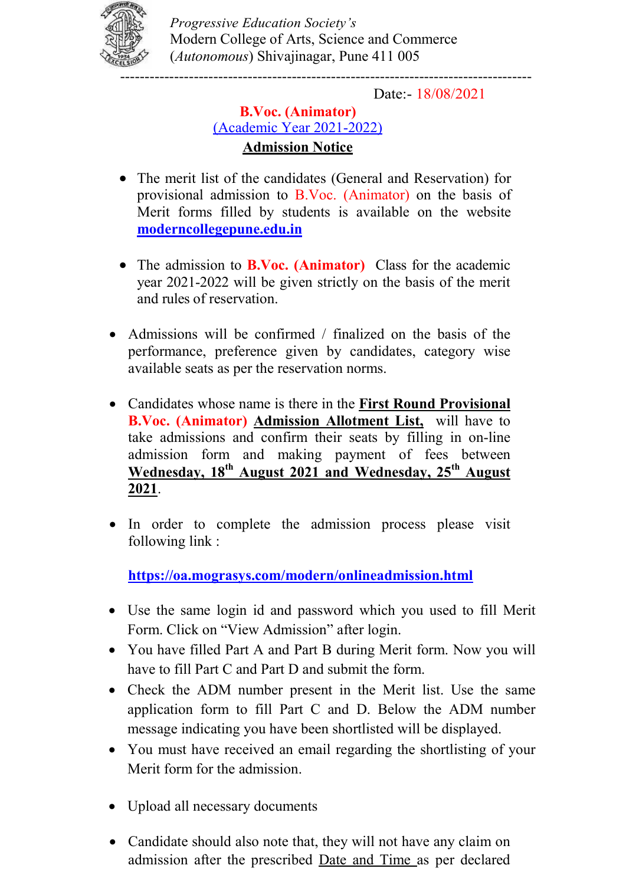

Progressive Education Society's Modern College of Arts, Science and Commerce (Autonomous) Shivajinagar, Pune 411 005

Date:- 18/08/2021

## B.Voc. (Animator) (Academic Year 2021-2022) **Admission Notice**

- The merit list of the candidates (General and Reservation) for provisional admission to B.Voc. (Animator) on the basis of Merit forms filled by students is available on the website moderncollegepune.edu.in
- The admission to **B.Voc.** (Animator) Class for the academic year 2021-2022 will be given strictly on the basis of the merit and rules of reservation.
- Admissions will be confirmed / finalized on the basis of the performance, preference given by candidates, category wise available seats as per the reservation norms.
- Candidates whose name is there in the First Round Provisional B.Voc. (Animator) Admission Allotment List, will have to take admissions and confirm their seats by filling in on-line admission form and making payment of fees between Wednesday, 18<sup>th</sup> August 2021 and Wednesday, 25<sup>th</sup> August 2021.
- In order to complete the admission process please visit following link :

https://oa.mograsys.com/modern/onlineadmission.html

- Use the same login id and password which you used to fill Merit Form. Click on "View Admission" after login.
- You have filled Part A and Part B during Merit form. Now you will have to fill Part C and Part D and submit the form.
- Check the ADM number present in the Merit list. Use the same application form to fill Part C and D. Below the ADM number message indicating you have been shortlisted will be displayed.
- You must have received an email regarding the shortlisting of your Merit form for the admission.
- Upload all necessary documents
- Candidate should also note that, they will not have any claim on admission after the prescribed Date and Time as per declared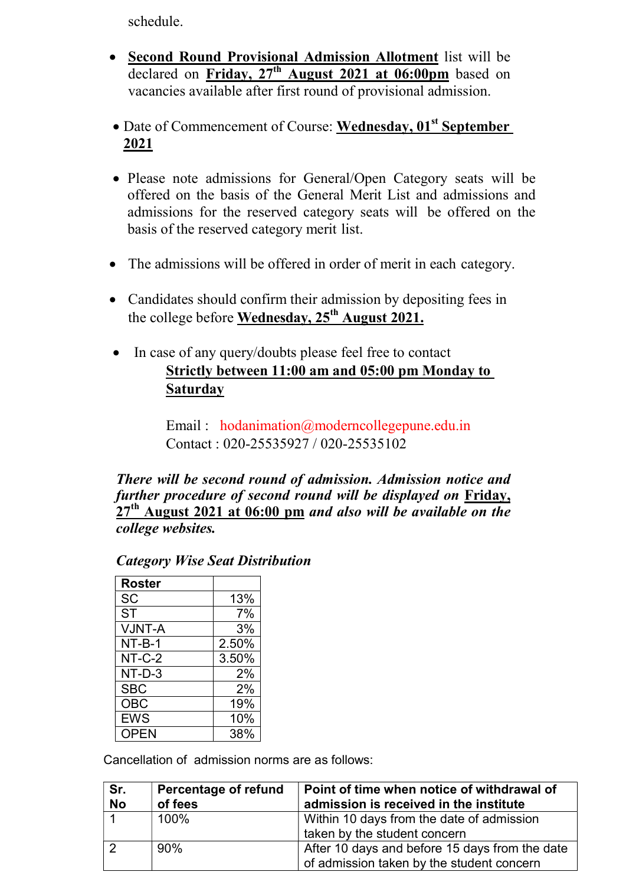schedule.

- Second Round Provisional Admission Allotment list will be declared on Friday,  $27<sup>th</sup>$  August 2021 at 06:00pm based on vacancies available after first round of provisional admission.
- Date of Commencement of Course: Wednesday, 01<sup>st</sup> September 2021
- Please note admissions for General/Open Category seats will be offered on the basis of the General Merit List and admissions and admissions for the reserved category seats will be offered on the basis of the reserved category merit list.
- The admissions will be offered in order of merit in each category.
- Candidates should confirm their admission by depositing fees in the college before Wednesday,  $25^{th}$  August 2021.
- In case of any query/doubts please feel free to contact Strictly between 11:00 am and 05:00 pm Monday to **Saturday**

Email : hodanimation@moderncollegepune.edu.in Contact : 020-25535927 / 020-25535102

There will be second round of admission. Admission notice and further procedure of second round will be displayed on Friday,  $27<sup>th</sup>$  August 2021 at 06:00 pm and also will be available on the college websites.

| <b>Roster</b> |       |
|---------------|-------|
| <b>SC</b>     | 13%   |
| <b>ST</b>     | 7%    |
| VJNT-A        | 3%    |
| $NT-B-1$      | 2.50% |
| $NT-C-2$      | 3.50% |
| NT-D-3        | 2%    |
| <b>SBC</b>    | 2%    |
| <b>OBC</b>    | 19%   |
| <b>EWS</b>    | 10%   |
| OPEN          | 38%   |

Category Wise Seat Distribution

Cancellation of admission norms are as follows:

| Sr.<br><b>No</b> | Percentage of refund<br>of fees | Point of time when notice of withdrawal of<br>admission is received in the institute |
|------------------|---------------------------------|--------------------------------------------------------------------------------------|
|                  | 100%                            | Within 10 days from the date of admission                                            |
|                  |                                 | taken by the student concern                                                         |
| $\sqrt{2}$       | 90%                             | After 10 days and before 15 days from the date                                       |
|                  |                                 | of admission taken by the student concern                                            |